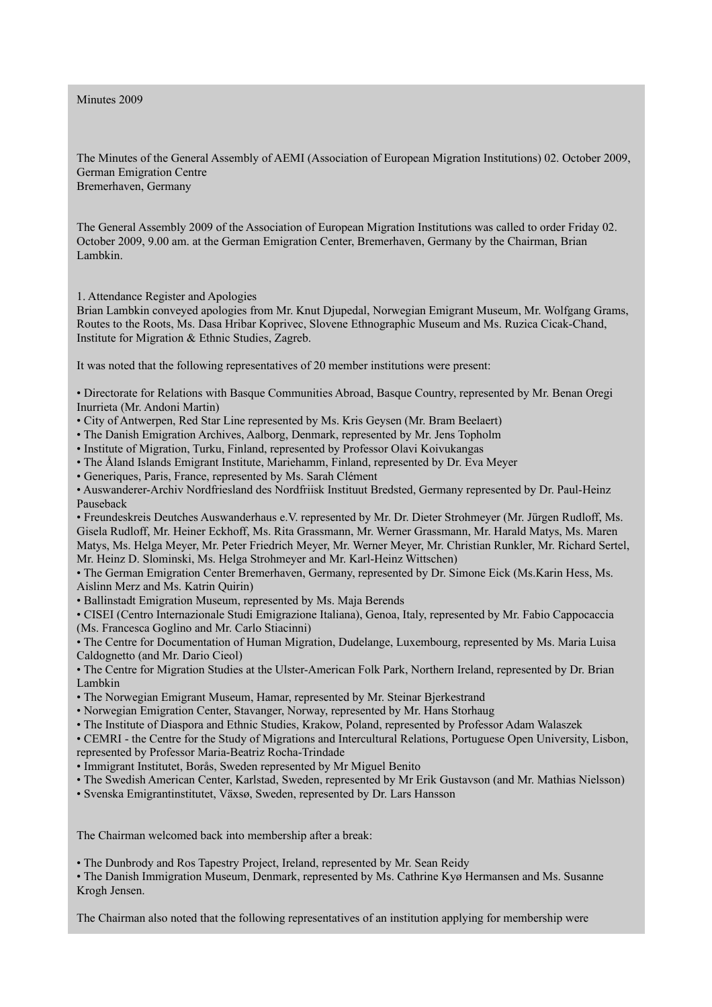Minutes 2009

The Minutes of the General Assembly of AEMI (Association of European Migration Institutions) 02. October 2009, German Emigration Centre Bremerhaven, Germany

The General Assembly 2009 of the Association of European Migration Institutions was called to order Friday 02. October 2009, 9.00 am. at the German Emigration Center, Bremerhaven, Germany by the Chairman, Brian Lambkin.

1. Attendance Register and Apologies

Brian Lambkin conveyed apologies from Mr. Knut Djupedal, Norwegian Emigrant Museum, Mr. Wolfgang Grams, Routes to the Roots, Ms. Dasa Hribar Koprivec, Slovene Ethnographic Museum and Ms. Ruzica Cicak-Chand, Institute for Migration & Ethnic Studies, Zagreb.

It was noted that the following representatives of 20 member institutions were present:

• Directorate for Relations with Basque Communities Abroad, Basque Country, represented by Mr. Benan Oregi Inurrieta (Mr. Andoni Martin)

• City of Antwerpen, Red Star Line represented by Ms. Kris Geysen (Mr. Bram Beelaert)

• The Danish Emigration Archives, Aalborg, Denmark, represented by Mr. Jens Topholm

• Institute of Migration, Turku, Finland, represented by Professor Olavi Koivukangas

• The Åland Islands Emigrant Institute, Mariehamm, Finland, represented by Dr. Eva Meyer

• Generiques, Paris, France, represented by Ms. Sarah Clément

• Auswanderer-Archiv Nordfriesland des Nordfriisk Instituut Bredsted, Germany represented by Dr. Paul-Heinz Pauseback

• Freundeskreis Deutches Auswanderhaus e.V. represented by Mr. Dr. Dieter Strohmeyer (Mr. Jürgen Rudloff, Ms. Gisela Rudloff, Mr. Heiner Eckhoff, Ms. Rita Grassmann, Mr. Werner Grassmann, Mr. Harald Matys, Ms. Maren Matys, Ms. Helga Meyer, Mr. Peter Friedrich Meyer, Mr. Werner Meyer, Mr. Christian Runkler, Mr. Richard Sertel, Mr. Heinz D. Slominski, Ms. Helga Strohmeyer and Mr. Karl-Heinz Wittschen)

• The German Emigration Center Bremerhaven, Germany, represented by Dr. Simone Eick (Ms.Karin Hess, Ms. Aislinn Merz and Ms. Katrin Quirin)

• Ballinstadt Emigration Museum, represented by Ms. Maja Berends

• CISEI (Centro Internazionale Studi Emigrazione Italiana), Genoa, Italy, represented by Mr. Fabio Cappocaccia (Ms. Francesca Goglino and Mr. Carlo Stiacinni)

• The Centre for Documentation of Human Migration, Dudelange, Luxembourg, represented by Ms. Maria Luisa Caldognetto (and Mr. Dario Cieol)

• The Centre for Migration Studies at the Ulster-American Folk Park, Northern Ireland, represented by Dr. Brian Lambkin

• The Norwegian Emigrant Museum, Hamar, represented by Mr. Steinar Bjerkestrand

• Norwegian Emigration Center, Stavanger, Norway, represented by Mr. Hans Storhaug

• The Institute of Diaspora and Ethnic Studies, Krakow, Poland, represented by Professor Adam Walaszek

• CEMRI - the Centre for the Study of Migrations and Intercultural Relations, Portuguese Open University, Lisbon, represented by Professor Maria-Beatriz Rocha-Trindade

• Immigrant Institutet, Borås, Sweden represented by Mr Miguel Benito

• The Swedish American Center, Karlstad, Sweden, represented by Mr Erik Gustavson (and Mr. Mathias Nielsson)

• Svenska Emigrantinstitutet, Växsø, Sweden, represented by Dr. Lars Hansson

The Chairman welcomed back into membership after a break:

• The Dunbrody and Ros Tapestry Project, Ireland, represented by Mr. Sean Reidy

• The Danish Immigration Museum, Denmark, represented by Ms. Cathrine Kyø Hermansen and Ms. Susanne Krogh Jensen.

The Chairman also noted that the following representatives of an institution applying for membership were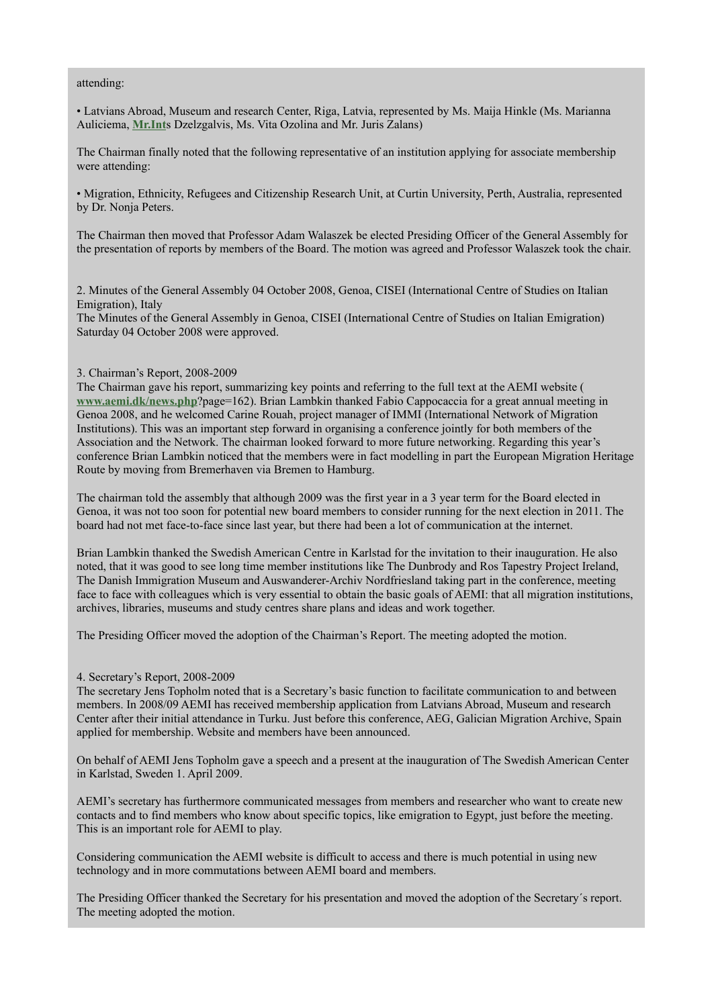# attending:

• Latvians Abroad, Museum and research Center, Riga, Latvia, represented by Ms. Maija Hinkle (Ms. Marianna Auliciema, **[Mr.Int](http://Mr.Int/)**s Dzelzgalvis, Ms. Vita Ozolina and Mr. Juris Zalans)

The Chairman finally noted that the following representative of an institution applying for associate membership were attending:

• Migration, Ethnicity, Refugees and Citizenship Research Unit, at Curtin University, Perth, Australia, represented by Dr. Nonja Peters.

The Chairman then moved that Professor Adam Walaszek be elected Presiding Officer of the General Assembly for the presentation of reports by members of the Board. The motion was agreed and Professor Walaszek took the chair.

2. Minutes of the General Assembly 04 October 2008, Genoa, CISEI (International Centre of Studies on Italian Emigration), Italy

The Minutes of the General Assembly in Genoa, CISEI (International Centre of Studies on Italian Emigration) Saturday 04 October 2008 were approved.

# 3. Chairman's Report, 2008-2009

The Chairman gave his report, summarizing key points and referring to the full text at the AEMI website ( **[www.aemi.dk/news.php](http://www.aemi.dk/news.php)**?page=162). Brian Lambkin thanked Fabio Cappocaccia for a great annual meeting in Genoa 2008, and he welcomed Carine Rouah, project manager of IMMI (International Network of Migration Institutions). This was an important step forward in organising a conference jointly for both members of the Association and the Network. The chairman looked forward to more future networking. Regarding this year's conference Brian Lambkin noticed that the members were in fact modelling in part the European Migration Heritage Route by moving from Bremerhaven via Bremen to Hamburg.

The chairman told the assembly that although 2009 was the first year in a 3 year term for the Board elected in Genoa, it was not too soon for potential new board members to consider running for the next election in 2011. The board had not met face-to-face since last year, but there had been a lot of communication at the internet.

Brian Lambkin thanked the Swedish American Centre in Karlstad for the invitation to their inauguration. He also noted, that it was good to see long time member institutions like The Dunbrody and Ros Tapestry Project Ireland, The Danish Immigration Museum and Auswanderer-Archiv Nordfriesland taking part in the conference, meeting face to face with colleagues which is very essential to obtain the basic goals of AEMI: that all migration institutions, archives, libraries, museums and study centres share plans and ideas and work together.

The Presiding Officer moved the adoption of the Chairman's Report. The meeting adopted the motion.

# 4. Secretary's Report, 2008-2009

The secretary Jens Topholm noted that is a Secretary's basic function to facilitate communication to and between members. In 2008/09 AEMI has received membership application from Latvians Abroad, Museum and research Center after their initial attendance in Turku. Just before this conference, AEG, Galician Migration Archive, Spain applied for membership. Website and members have been announced.

On behalf of AEMI Jens Topholm gave a speech and a present at the inauguration of The Swedish American Center in Karlstad, Sweden 1. April 2009.

AEMI's secretary has furthermore communicated messages from members and researcher who want to create new contacts and to find members who know about specific topics, like emigration to Egypt, just before the meeting. This is an important role for AEMI to play.

Considering communication the AEMI website is difficult to access and there is much potential in using new technology and in more commutations between AEMI board and members.

The Presiding Officer thanked the Secretary for his presentation and moved the adoption of the Secretary´s report. The meeting adopted the motion.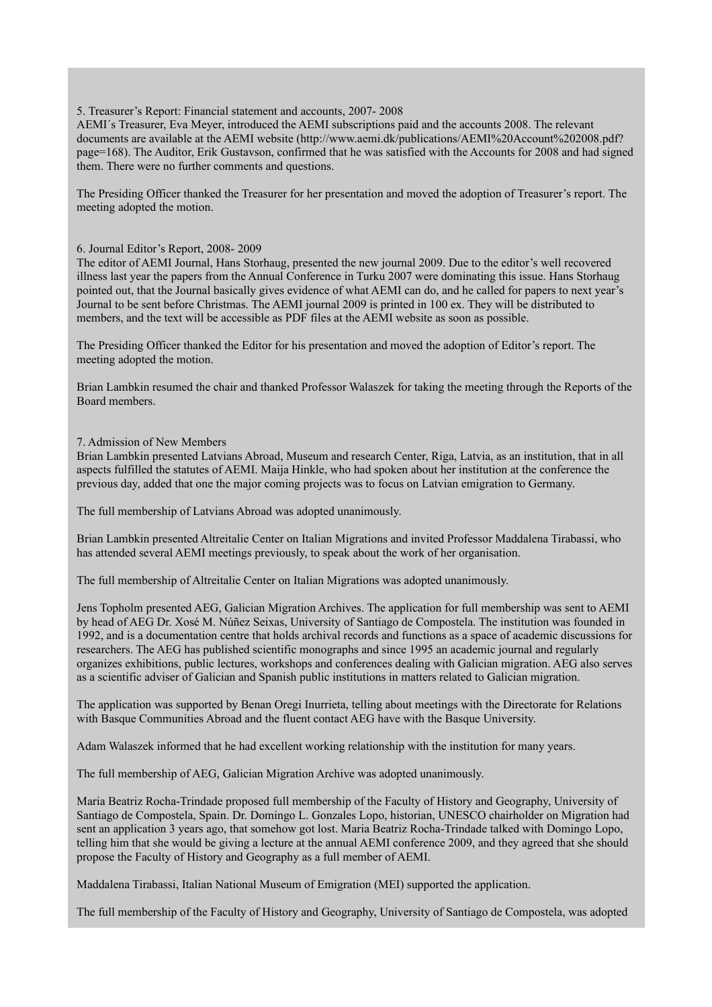# 5. Treasurer's Report: Financial statement and accounts, 2007- 2008

AEMI´s Treasurer, Eva Meyer, introduced the AEMI subscriptions paid and the accounts 2008. The relevant documents are available at the AEMI website (http://www.aemi.dk/publications/AEMI%20Account%202008.pdf? page=168). The Auditor, Erik Gustavson, confirmed that he was satisfied with the Accounts for 2008 and had signed them. There were no further comments and questions.

The Presiding Officer thanked the Treasurer for her presentation and moved the adoption of Treasurer's report. The meeting adopted the motion.

## 6. Journal Editor's Report, 2008- 2009

The editor of AEMI Journal, Hans Storhaug, presented the new journal 2009. Due to the editor's well recovered illness last year the papers from the Annual Conference in Turku 2007 were dominating this issue. Hans Storhaug pointed out, that the Journal basically gives evidence of what AEMI can do, and he called for papers to next year's Journal to be sent before Christmas. The AEMI journal 2009 is printed in 100 ex. They will be distributed to members, and the text will be accessible as PDF files at the AEMI website as soon as possible.

The Presiding Officer thanked the Editor for his presentation and moved the adoption of Editor's report. The meeting adopted the motion.

Brian Lambkin resumed the chair and thanked Professor Walaszek for taking the meeting through the Reports of the Board members.

# 7. Admission of New Members

Brian Lambkin presented Latvians Abroad, Museum and research Center, Riga, Latvia, as an institution, that in all aspects fulfilled the statutes of AEMI. Maija Hinkle, who had spoken about her institution at the conference the previous day, added that one the major coming projects was to focus on Latvian emigration to Germany.

The full membership of Latvians Abroad was adopted unanimously.

Brian Lambkin presented Altreitalie Center on Italian Migrations and invited Professor Maddalena Tirabassi, who has attended several AEMI meetings previously, to speak about the work of her organisation.

The full membership of Altreitalie Center on Italian Migrations was adopted unanimously.

Jens Topholm presented AEG, Galician Migration Archives. The application for full membership was sent to AEMI by head of AEG Dr. Xosé M. Núñez Seixas, University of Santiago de Compostela. The institution was founded in 1992, and is a documentation centre that holds archival records and functions as a space of academic discussions for researchers. The AEG has published scientific monographs and since 1995 an academic journal and regularly organizes exhibitions, public lectures, workshops and conferences dealing with Galician migration. AEG also serves as a scientific adviser of Galician and Spanish public institutions in matters related to Galician migration.

The application was supported by Benan Oregi Inurrieta, telling about meetings with the Directorate for Relations with Basque Communities Abroad and the fluent contact AEG have with the Basque University.

Adam Walaszek informed that he had excellent working relationship with the institution for many years.

The full membership of AEG, Galician Migration Archive was adopted unanimously.

Maria Beatriz Rocha-Trindade proposed full membership of the Faculty of History and Geography, University of Santiago de Compostela, Spain. Dr. Domingo L. Gonzales Lopo, historian, UNESCO chairholder on Migration had sent an application 3 years ago, that somehow got lost. Maria Beatriz Rocha-Trindade talked with Domingo Lopo, telling him that she would be giving a lecture at the annual AEMI conference 2009, and they agreed that she should propose the Faculty of History and Geography as a full member of AEMI.

Maddalena Tirabassi, Italian National Museum of Emigration (MEI) supported the application.

The full membership of the Faculty of History and Geography, University of Santiago de Compostela, was adopted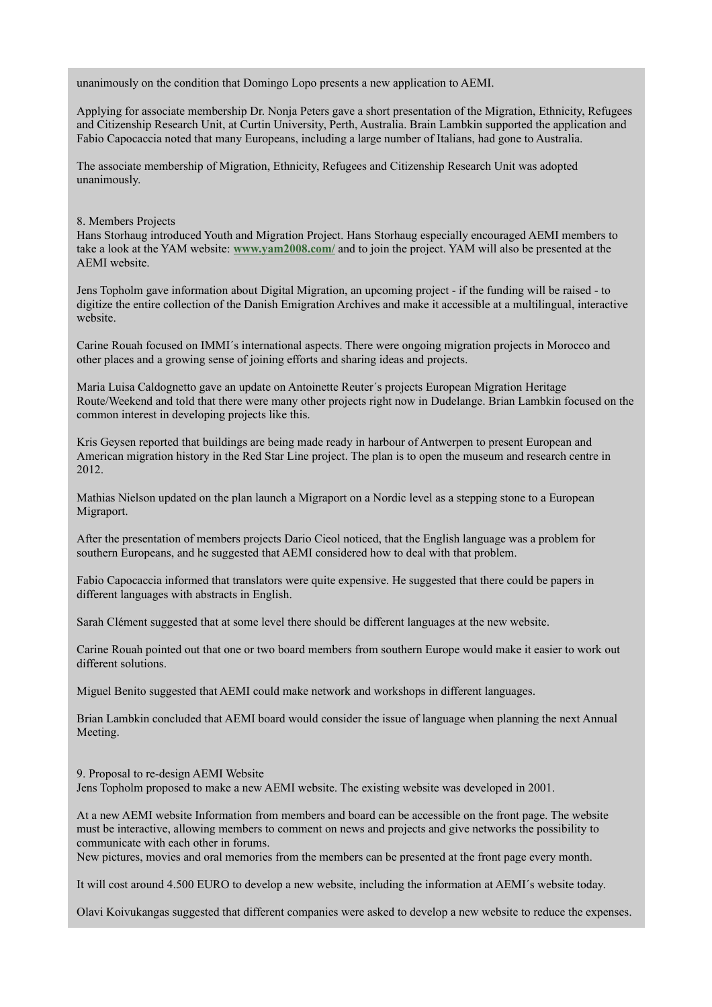unanimously on the condition that Domingo Lopo presents a new application to AEMI.

Applying for associate membership Dr. Nonja Peters gave a short presentation of the Migration, Ethnicity, Refugees and Citizenship Research Unit, at Curtin University, Perth, Australia. Brain Lambkin supported the application and Fabio Capocaccia noted that many Europeans, including a large number of Italians, had gone to Australia.

The associate membership of Migration, Ethnicity, Refugees and Citizenship Research Unit was adopted unanimously.

# 8. Members Projects

Hans Storhaug introduced Youth and Migration Project. Hans Storhaug especially encouraged AEMI members to take a look at the YAM website: **[www.yam2008.com/](http://www.yam2008.com/)** and to join the project. YAM will also be presented at the AEMI website.

Jens Topholm gave information about Digital Migration, an upcoming project - if the funding will be raised - to digitize the entire collection of the Danish Emigration Archives and make it accessible at a multilingual, interactive website.

Carine Rouah focused on IMMI´s international aspects. There were ongoing migration projects in Morocco and other places and a growing sense of joining efforts and sharing ideas and projects.

Maria Luisa Caldognetto gave an update on Antoinette Reuter´s projects European Migration Heritage Route/Weekend and told that there were many other projects right now in Dudelange. Brian Lambkin focused on the common interest in developing projects like this.

Kris Geysen reported that buildings are being made ready in harbour of Antwerpen to present European and American migration history in the Red Star Line project. The plan is to open the museum and research centre in 2012.

Mathias Nielson updated on the plan launch a Migraport on a Nordic level as a stepping stone to a European Migraport.

After the presentation of members projects Dario Cieol noticed, that the English language was a problem for southern Europeans, and he suggested that AEMI considered how to deal with that problem.

Fabio Capocaccia informed that translators were quite expensive. He suggested that there could be papers in different languages with abstracts in English.

Sarah Clément suggested that at some level there should be different languages at the new website.

Carine Rouah pointed out that one or two board members from southern Europe would make it easier to work out different solutions.

Miguel Benito suggested that AEMI could make network and workshops in different languages.

Brian Lambkin concluded that AEMI board would consider the issue of language when planning the next Annual Meeting.

9. Proposal to re-design AEMI Website Jens Topholm proposed to make a new AEMI website. The existing website was developed in 2001.

At a new AEMI website Information from members and board can be accessible on the front page. The website must be interactive, allowing members to comment on news and projects and give networks the possibility to communicate with each other in forums.

New pictures, movies and oral memories from the members can be presented at the front page every month.

It will cost around 4.500 EURO to develop a new website, including the information at AEMI´s website today.

Olavi Koivukangas suggested that different companies were asked to develop a new website to reduce the expenses.